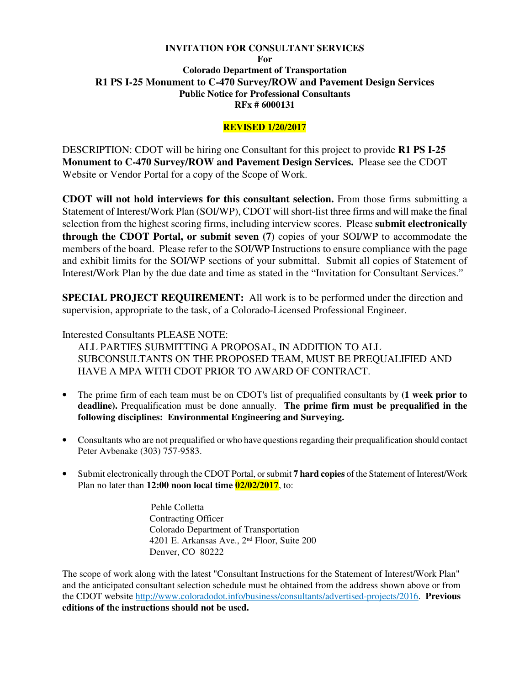### **INVITATION FOR CONSULTANT SERVICES**

**For** 

# **Colorado Department of Transportation R1 PS I-25 Monument to C-470 Survey/ROW and Pavement Design Services Public Notice for Professional Consultants RFx # 6000131**

# **REVISED 1/20/2017**

DESCRIPTION: CDOT will be hiring one Consultant for this project to provide **R1 PS I-25 Monument to C-470 Survey/ROW and Pavement Design Services.** Please see the CDOT Website or Vendor Portal for a copy of the Scope of Work.

**CDOT will not hold interviews for this consultant selection.** From those firms submitting a Statement of Interest/Work Plan (SOI/WP), CDOT will short-list three firms and will make the final selection from the highest scoring firms, including interview scores. Please **submit electronically through the CDOT Portal, or submit seven (7)** copies of your SOI/WP to accommodate the members of the board. Please refer to the SOI/WP Instructions to ensure compliance with the page and exhibit limits for the SOI/WP sections of your submittal. Submit all copies of Statement of Interest/Work Plan by the due date and time as stated in the "Invitation for Consultant Services."

**SPECIAL PROJECT REQUIREMENT:** All work is to be performed under the direction and supervision, appropriate to the task, of a Colorado-Licensed Professional Engineer.

# Interested Consultants PLEASE NOTE:

ALL PARTIES SUBMITTING A PROPOSAL, IN ADDITION TO ALL SUBCONSULTANTS ON THE PROPOSED TEAM, MUST BE PREQUALIFIED AND HAVE A MPA WITH CDOT PRIOR TO AWARD OF CONTRACT.

- The prime firm of each team must be on CDOT's list of prequalified consultants by **(1 week prior to deadline).** Prequalification must be done annually. **The prime firm must be prequalified in the following disciplines: Environmental Engineering and Surveying.**
- Consultants who are not prequalified or who have questions regarding their prequalification should contact Peter Avbenake (303) 757-9583.
- Submit electronically through the CDOT Portal, or submit **7 hard copies** of the Statement of Interest/Work Plan no later than **12:00 noon local time 02/02/2017**, to:

 Pehle Colletta Contracting Officer Colorado Department of Transportation 4201 E. Arkansas Ave., 2nd Floor, Suite 200 Denver, CO 80222

The scope of work along with the latest "Consultant Instructions for the Statement of Interest/Work Plan" and the anticipated consultant selection schedule must be obtained from the address shown above or from the CDOT website http://www.coloradodot.info/business/consultants/advertised-projects/2016. **Previous editions of the instructions should not be used.**